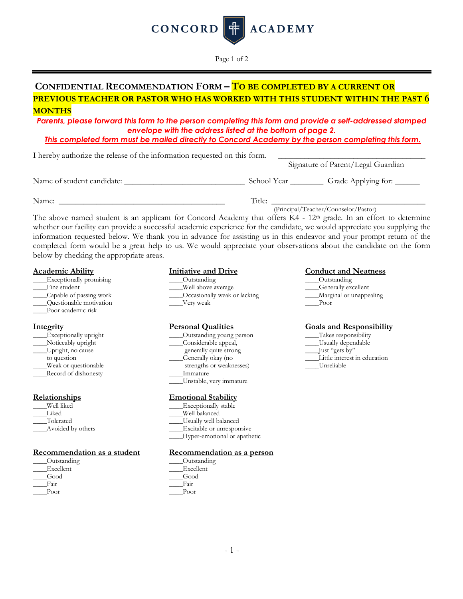

Page 1 of 2

# **CONFIDENTIAL RECOMMENDATION FORM – TO BE COMPLETED BY A CURRENT OR PREVIOUS TEACHER OR PASTOR WHO HAS WORKED WITH THIS STUDENT WITHIN THE PAST 6 MONTHS**

*Parents, please forward this form to the person completing this form and provide a self-addressed stamped envelope with the address listed at the bottom of page 2.*

*This completed form must be mailed directly to Concord Academy by the person completing this form.*

| I hereby authorize the release of the information requested on this form. | Signature of Parent/Legal Guardian                   |  |
|---------------------------------------------------------------------------|------------------------------------------------------|--|
| Name of student candidate:                                                | School Year ____________ Grade Applying for: _______ |  |
| Name:                                                                     | Title:                                               |  |

(Principal/Teacher/Counselor/Pastor)

The above named student is an applicant for Concord Academy that offers  $K4 - 12<sup>th</sup>$  grade. In an effort to determine whether our facility can provide a successful academic experience for the candidate, we would appreciate you supplying the information requested below. We thank you in advance for assisting us in this endeavor and your prompt return of the completed form would be a great help to us. We would appreciate your observations about the candidate on the form below by checking the appropriate areas.

| Exceptionally promising | Outstanding                  | Outs |
|-------------------------|------------------------------|------|
| Fine student            | Well above average           | Geno |
| Capable of passing work | Occasionally weak or lacking | Marg |
| Ouestionable motivation | Very weak                    | Poor |
| Poor academic risk      |                              |      |

| Exceptionally upright |
|-----------------------|
|                       |
| Noticeably upright    |
| Upright, no cause     |
| to question           |
| Weak or questionable  |
| Record of dishonesty  |

| Well liked       |
|------------------|
| Liked            |
| Tolerated        |
| Avoided by other |

### **Recommendation as a student Recommendation as a person**

| Outstanding | Outst |
|-------------|-------|
| Excellent   | Excel |
| Good        | Good  |
| Fair        | Fair  |
| Poor        | Poor  |

\_\_\_\_Exceptionally promising \_\_\_\_Outstanding \_\_\_\_Outstanding Well above average Generally excellent \_\_\_\_Capable of passing work \_\_\_\_Occasionally weak or lacking \_\_\_\_Marginal or unappealing

- \_\_\_\_Exceptionally upright \_\_\_\_Outstanding young person \_\_\_\_Takes responsibility \_\_\_\_Noticeably upright \_\_\_\_Considerable appeal, \_\_\_\_Usually dependable
- generally quite strong<br>Generally okay (no
- 
- Immature
- \_\_\_\_Unstable, very immature

### **Relationships Emotional Stability**

- Exceptionally stable
- Well balanced
- \_\_\_\_Tolerated \_\_\_\_Usually well balanced
- Excitable or unresponsive
	- \_\_\_\_Hyper-emotional or apathetic

\_\_\_\_Outstanding \_\_\_\_Outstanding \_\_\_\_Excellent \_\_\_\_Excellent

### **Academic Ability Initiative and Drive Conduct and Neatness**

- 
- 
- 

## **Integrity Personal Qualities Goals and Responsibility**

- 
- 
- 
- Little interest in education
- strengths or weaknesses)  $L$  Unreliable strengths or weaknesses)